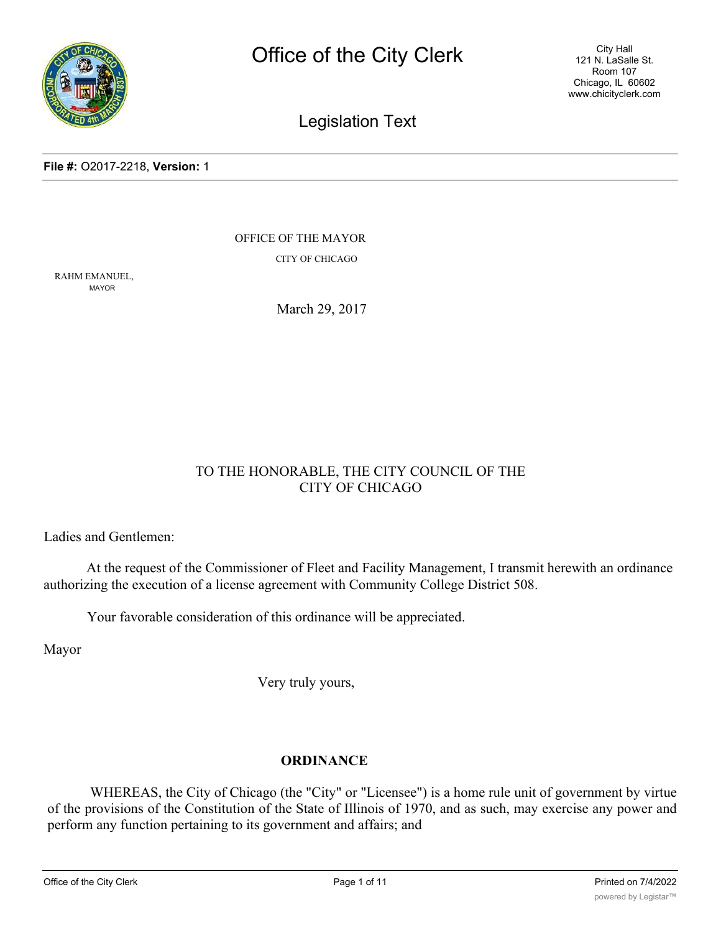

City Hall 121 N. LaSalle St. Room 107 Chicago, IL 60602 www.chicityclerk.com

Legislation Text

#### **File #:** O2017-2218, **Version:** 1

OFFICE OF THE MAYOR

CITY OF CHICAGO

RAHM EMANUEL, MAYOR

March 29, 2017

# TO THE HONORABLE, THE CITY COUNCIL OF THE CITY OF CHICAGO

Ladies and Gentlemen:

At the request of the Commissioner of Fleet and Facility Management, I transmit herewith an ordinance authorizing the execution of a license agreement with Community College District 508.

Your favorable consideration of this ordinance will be appreciated.

Mayor

Very truly yours,

# **ORDINANCE**

WHEREAS, the City of Chicago (the "City" or "Licensee") is a home rule unit of government by virtue of the provisions of the Constitution of the State of Illinois of 1970, and as such, may exercise any power and perform any function pertaining to its government and affairs; and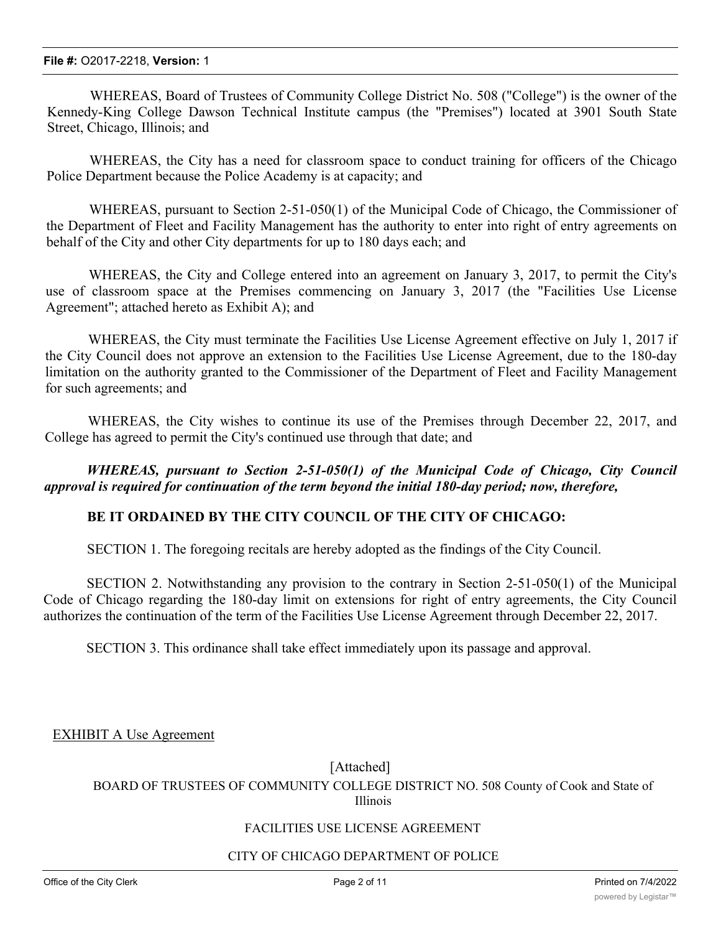WHEREAS, Board of Trustees of Community College District No. 508 ("College") is the owner of the Kennedy-King College Dawson Technical Institute campus (the "Premises") located at 3901 South State Street, Chicago, Illinois; and

WHEREAS, the City has a need for classroom space to conduct training for officers of the Chicago Police Department because the Police Academy is at capacity; and

WHEREAS, pursuant to Section 2-51-050(1) of the Municipal Code of Chicago, the Commissioner of the Department of Fleet and Facility Management has the authority to enter into right of entry agreements on behalf of the City and other City departments for up to 180 days each; and

WHEREAS, the City and College entered into an agreement on January 3, 2017, to permit the City's use of classroom space at the Premises commencing on January 3, 2017 (the "Facilities Use License Agreement"; attached hereto as Exhibit A); and

WHEREAS, the City must terminate the Facilities Use License Agreement effective on July 1, 2017 if the City Council does not approve an extension to the Facilities Use License Agreement, due to the 180-day limitation on the authority granted to the Commissioner of the Department of Fleet and Facility Management for such agreements; and

WHEREAS, the City wishes to continue its use of the Premises through December 22, 2017, and College has agreed to permit the City's continued use through that date; and

*WHEREAS, pursuant to Section 2-51-050(1) of the Municipal Code of Chicago, City Council approval is required for continuation of the term beyond the initial 180-day period; now, therefore,*

### **BE IT ORDAINED BY THE CITY COUNCIL OF THE CITY OF CHICAGO:**

SECTION 1. The foregoing recitals are hereby adopted as the findings of the City Council.

SECTION 2. Notwithstanding any provision to the contrary in Section 2-51-050(1) of the Municipal Code of Chicago regarding the 180-day limit on extensions for right of entry agreements, the City Council authorizes the continuation of the term of the Facilities Use License Agreement through December 22, 2017.

SECTION 3. This ordinance shall take effect immediately upon its passage and approval.

EXHIBIT A Use Agreement

[Attached]

BOARD OF TRUSTEES OF COMMUNITY COLLEGE DISTRICT NO. 508 County of Cook and State of Illinois

#### FACILITIES USE LICENSE AGREEMENT

#### CITY OF CHICAGO DEPARTMENT OF POLICE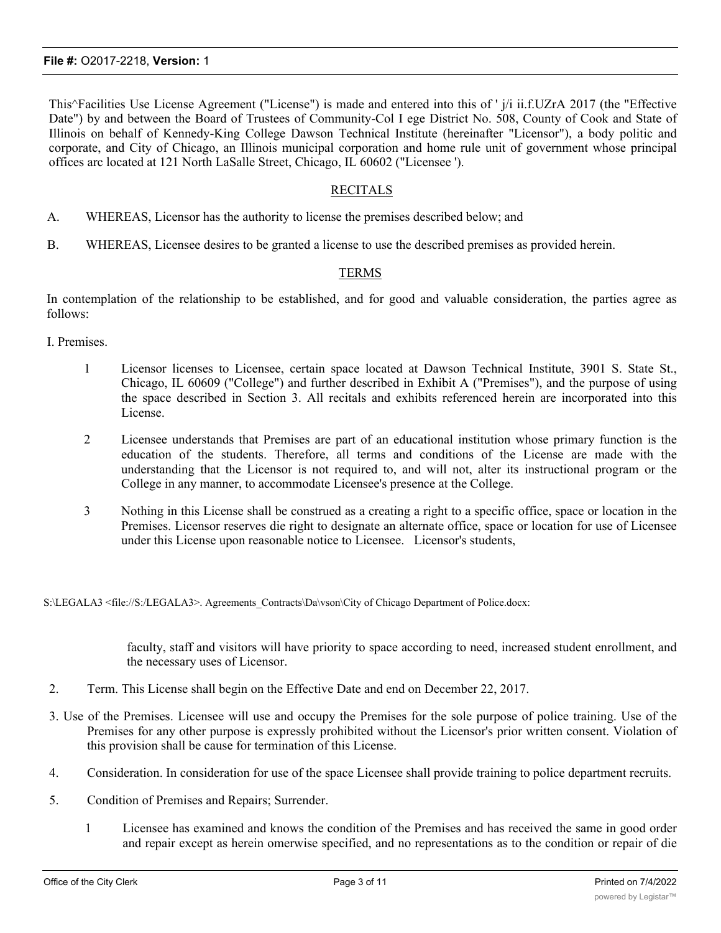This^Facilities Use License Agreement ("License") is made and entered into this of ' j/i ii.f.UZrA 2017 (the "Effective Date") by and between the Board of Trustees of Community-Col I ege District No. 508, County of Cook and State of Illinois on behalf of Kennedy-King College Dawson Technical Institute (hereinafter "Licensor"), a body politic and corporate, and City of Chicago, an Illinois municipal corporation and home rule unit of government whose principal offices arc located at 121 North LaSalle Street, Chicago, IL 60602 ("Licensee ').

#### RECITALS

- A. WHEREAS, Licensor has the authority to license the premises described below; and
- B. WHEREAS, Licensee desires to be granted a license to use the described premises as provided herein.

#### TERMS

In contemplation of the relationship to be established, and for good and valuable consideration, the parties agree as follows:

- I. Premises.
	- 1 Licensor licenses to Licensee, certain space located at Dawson Technical Institute, 3901 S. State St., Chicago, IL 60609 ("College") and further described in Exhibit A ("Premises"), and the purpose of using the space described in Section 3. All recitals and exhibits referenced herein are incorporated into this License.
	- 2 Licensee understands that Premises are part of an educational institution whose primary function is the education of the students. Therefore, all terms and conditions of the License are made with the understanding that the Licensor is not required to, and will not, alter its instructional program or the College in any manner, to accommodate Licensee's presence at the College.
	- 3 Nothing in this License shall be construed as a creating a right to a specific office, space or location in the Premises. Licensor reserves die right to designate an alternate office, space or location for use of Licensee under this License upon reasonable notice to Licensee. Licensor's students,

S:\LEGALA3 <file://S:/LEGALA3>. Agreements\_Contracts\Da\vson\City of Chicago Department of Police.docx:

faculty, staff and visitors will have priority to space according to need, increased student enrollment, and the necessary uses of Licensor.

- 2. Term. This License shall begin on the Effective Date and end on December 22, 2017.
- 3. Use of the Premises. Licensee will use and occupy the Premises for the sole purpose of police training. Use of the Premises for any other purpose is expressly prohibited without the Licensor's prior written consent. Violation of this provision shall be cause for termination of this License.
- 4. Consideration. In consideration for use of the space Licensee shall provide training to police department recruits.
- 5. Condition of Premises and Repairs; Surrender.
	- 1 Licensee has examined and knows the condition of the Premises and has received the same in good order and repair except as herein omerwise specified, and no representations as to the condition or repair of die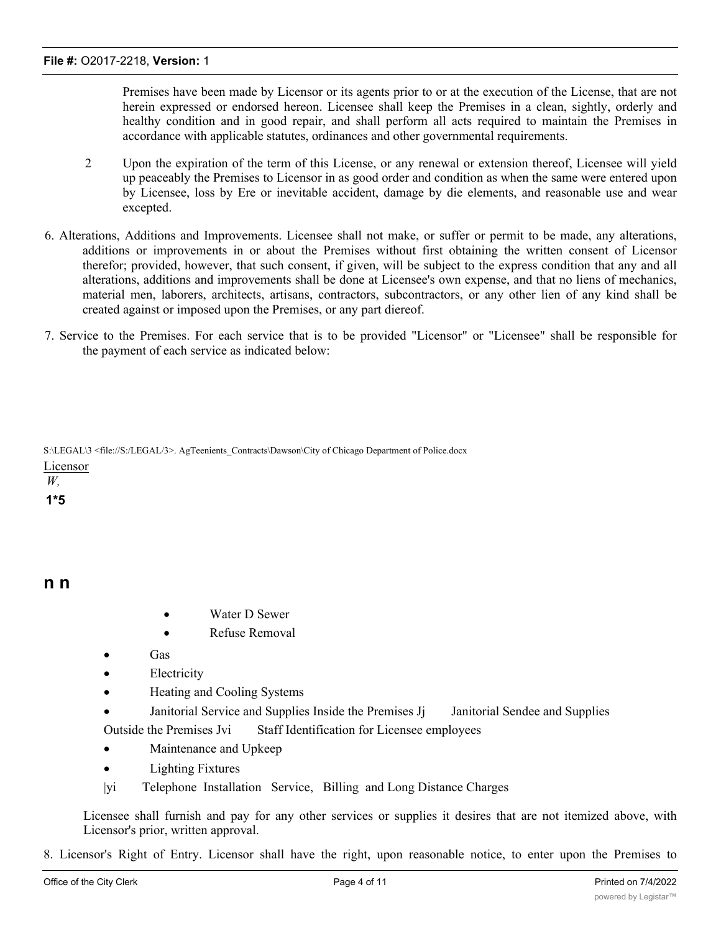Premises have been made by Licensor or its agents prior to or at the execution of the License, that are not herein expressed or endorsed hereon. Licensee shall keep the Premises in a clean, sightly, orderly and healthy condition and in good repair, and shall perform all acts required to maintain the Premises in accordance with applicable statutes, ordinances and other governmental requirements.

- 2 Upon the expiration of the term of this License, or any renewal or extension thereof, Licensee will yield up peaceably the Premises to Licensor in as good order and condition as when the same were entered upon by Licensee, loss by Ere or inevitable accident, damage by die elements, and reasonable use and wear excepted.
- 6. Alterations, Additions and Improvements. Licensee shall not make, or suffer or permit to be made, any alterations, additions or improvements in or about the Premises without first obtaining the written consent of Licensor therefor; provided, however, that such consent, if given, will be subject to the express condition that any and all alterations, additions and improvements shall be done at Licensee's own expense, and that no liens of mechanics, material men, laborers, architects, artisans, contractors, subcontractors, or any other lien of any kind shall be created against or imposed upon the Premises, or any part diereof.
- 7. Service to the Premises. For each service that is to be provided "Licensor" or "Licensee" shall be responsible for the payment of each service as indicated below:

S:\LEGAL\3 <file://S:/LEGAL/3>. AgTeenients\_Contracts\Dawson\City of Chicago Department of Police.docx Licensor

*W,* **1\*5**

## **n n**

- Water D Sewer
- · Refuse Removal
- · Gas
- Electricity
- Heating and Cooling Systems
- Janitorial Service and Supplies Inside the Premises Jj Janitorial Sendee and Supplies Outside the Premises Jvi Staff Identification for Licensee employees
- Maintenance and Upkeep
- Lighting Fixtures
- |yi Telephone Installation Service, Billing and Long Distance Charges

Licensee shall furnish and pay for any other services or supplies it desires that are not itemized above, with Licensor's prior, written approval.

8. Licensor's Right of Entry. Licensor shall have the right, upon reasonable notice, to enter upon the Premises to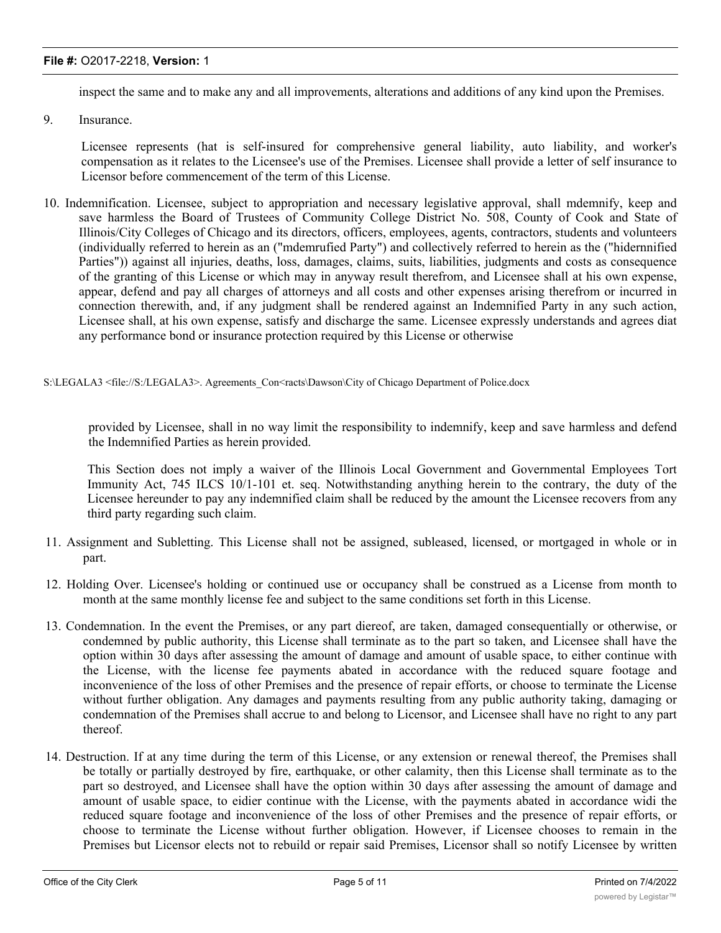#### **File #:** O2017-2218, **Version:** 1

inspect the same and to make any and all improvements, alterations and additions of any kind upon the Premises.

9. Insurance.

Licensee represents (hat is self-insured for comprehensive general liability, auto liability, and worker's compensation as it relates to the Licensee's use of the Premises. Licensee shall provide a letter of self insurance to Licensor before commencement of the term of this License.

10. Indemnification. Licensee, subject to appropriation and necessary legislative approval, shall mdemnify, keep and save harmless the Board of Trustees of Community College District No. 508, County of Cook and State of Illinois/City Colleges of Chicago and its directors, officers, employees, agents, contractors, students and volunteers (individually referred to herein as an ("mdemrufied Party") and collectively referred to herein as the ("hidernnified Parties")) against all injuries, deaths, loss, damages, claims, suits, liabilities, judgments and costs as consequence of the granting of this License or which may in anyway result therefrom, and Licensee shall at his own expense, appear, defend and pay all charges of attorneys and all costs and other expenses arising therefrom or incurred in connection therewith, and, if any judgment shall be rendered against an Indemnified Party in any such action, Licensee shall, at his own expense, satisfy and discharge the same. Licensee expressly understands and agrees diat any performance bond or insurance protection required by this License or otherwise

#### S:\LEGALA3 <file://S:/LEGALA3>. Agreements\_Con<racts\Dawson\City of Chicago Department of Police.docx

provided by Licensee, shall in no way limit the responsibility to indemnify, keep and save harmless and defend the Indemnified Parties as herein provided.

This Section does not imply a waiver of the Illinois Local Government and Governmental Employees Tort Immunity Act, 745 ILCS 10/1-101 et. seq. Notwithstanding anything herein to the contrary, the duty of the Licensee hereunder to pay any indemnified claim shall be reduced by the amount the Licensee recovers from any third party regarding such claim.

- 11. Assignment and Subletting. This License shall not be assigned, subleased, licensed, or mortgaged in whole or in part.
- 12. Holding Over. Licensee's holding or continued use or occupancy shall be construed as a License from month to month at the same monthly license fee and subject to the same conditions set forth in this License.
- 13. Condemnation. In the event the Premises, or any part diereof, are taken, damaged consequentially or otherwise, or condemned by public authority, this License shall terminate as to the part so taken, and Licensee shall have the option within 30 days after assessing the amount of damage and amount of usable space, to either continue with the License, with the license fee payments abated in accordance with the reduced square footage and inconvenience of the loss of other Premises and the presence of repair efforts, or choose to terminate the License without further obligation. Any damages and payments resulting from any public authority taking, damaging or condemnation of the Premises shall accrue to and belong to Licensor, and Licensee shall have no right to any part thereof.
- 14. Destruction. If at any time during the term of this License, or any extension or renewal thereof, the Premises shall be totally or partially destroyed by fire, earthquake, or other calamity, then this License shall terminate as to the part so destroyed, and Licensee shall have the option within 30 days after assessing the amount of damage and amount of usable space, to eidier continue with the License, with the payments abated in accordance widi the reduced square footage and inconvenience of the loss of other Premises and the presence of repair efforts, or choose to terminate the License without further obligation. However, if Licensee chooses to remain in the Premises but Licensor elects not to rebuild or repair said Premises, Licensor shall so notify Licensee by written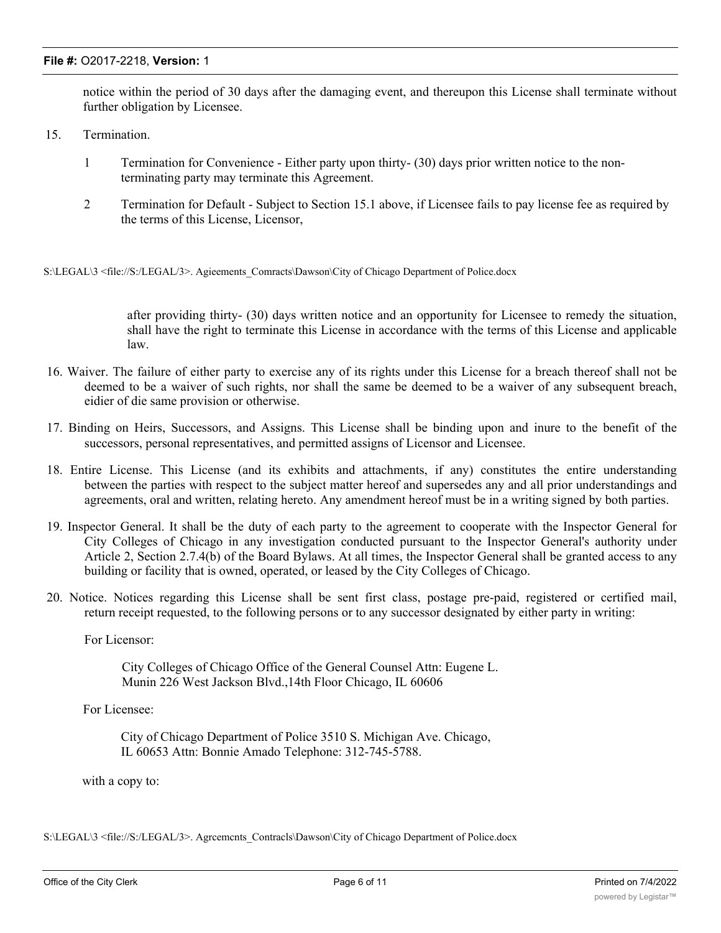#### **File #:** O2017-2218, **Version:** 1

notice within the period of 30 days after the damaging event, and thereupon this License shall terminate without further obligation by Licensee.

- 15. Termination.
	- 1 Termination for Convenience Either party upon thirty- (30) days prior written notice to the nonterminating party may terminate this Agreement.
	- 2 Termination for Default Subject to Section 15.1 above, if Licensee fails to pay license fee as required by the terms of this License, Licensor,

S:\LEGAL\3 <file://S:/LEGAL/3>. Agieements Comracts\Dawson\City of Chicago Department of Police.docx

after providing thirty- (30) days written notice and an opportunity for Licensee to remedy the situation, shall have the right to terminate this License in accordance with the terms of this License and applicable law.

- 16. Waiver. The failure of either party to exercise any of its rights under this License for a breach thereof shall not be deemed to be a waiver of such rights, nor shall the same be deemed to be a waiver of any subsequent breach, eidier of die same provision or otherwise.
- 17. Binding on Heirs, Successors, and Assigns. This License shall be binding upon and inure to the benefit of the successors, personal representatives, and permitted assigns of Licensor and Licensee.
- 18. Entire License. This License (and its exhibits and attachments, if any) constitutes the entire understanding between the parties with respect to the subject matter hereof and supersedes any and all prior understandings and agreements, oral and written, relating hereto. Any amendment hereof must be in a writing signed by both parties.
- 19. Inspector General. It shall be the duty of each party to the agreement to cooperate with the Inspector General for City Colleges of Chicago in any investigation conducted pursuant to the Inspector General's authority under Article 2, Section 2.7.4(b) of the Board Bylaws. At all times, the Inspector General shall be granted access to any building or facility that is owned, operated, or leased by the City Colleges of Chicago.
- 20. Notice. Notices regarding this License shall be sent first class, postage pre-paid, registered or certified mail, return receipt requested, to the following persons or to any successor designated by either party in writing:

For Licensor:

City Colleges of Chicago Office of the General Counsel Attn: Eugene L. Munin 226 West Jackson Blvd.,14th Floor Chicago, IL 60606

For Licensee:

City of Chicago Department of Police 3510 S. Michigan Ave. Chicago, IL 60653 Attn: Bonnie Amado Telephone: 312-745-5788.

with a copy to:

S:\LEGAL\3 <file://S:/LEGAL/3>. Agrcemcnts\_Contracls\Dawson\City of Chicago Department of Police.docx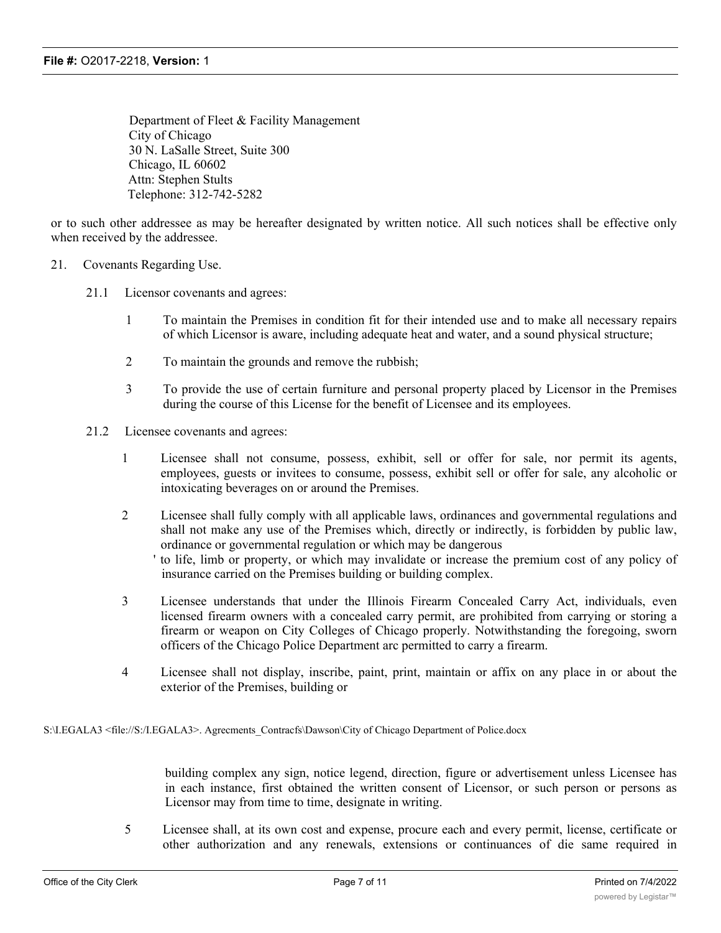Department of Fleet & Facility Management City of Chicago 30 N. LaSalle Street, Suite 300 Chicago, IL 60602 Attn: Stephen Stults Telephone: 312-742-5282

or to such other addressee as may be hereafter designated by written notice. All such notices shall be effective only when received by the addressee.

#### 21. Covenants Regarding Use.

- 21.1 Licensor covenants and agrees:
	- 1 To maintain the Premises in condition fit for their intended use and to make all necessary repairs of which Licensor is aware, including adequate heat and water, and a sound physical structure;
	- 2 To maintain the grounds and remove the rubbish;
	- 3 To provide the use of certain furniture and personal property placed by Licensor in the Premises during the course of this License for the benefit of Licensee and its employees.
- 21.2 Licensee covenants and agrees:
	- 1 Licensee shall not consume, possess, exhibit, sell or offer for sale, nor permit its agents, employees, guests or invitees to consume, possess, exhibit sell or offer for sale, any alcoholic or intoxicating beverages on or around the Premises.
	- 2 Licensee shall fully comply with all applicable laws, ordinances and governmental regulations and shall not make any use of the Premises which, directly or indirectly, is forbidden by public law, ordinance or governmental regulation or which may be dangerous

' to life, limb or property, or which may invalidate or increase the premium cost of any policy of insurance carried on the Premises building or building complex.

- 3 Licensee understands that under the Illinois Firearm Concealed Carry Act, individuals, even licensed firearm owners with a concealed carry permit, are prohibited from carrying or storing a firearm or weapon on City Colleges of Chicago properly. Notwithstanding the foregoing, sworn officers of the Chicago Police Department arc permitted to carry a firearm.
- 4 Licensee shall not display, inscribe, paint, print, maintain or affix on any place in or about the exterior of the Premises, building or

S:\I.EGALA3 <file://S:/I.EGALA3>. Agrecments\_Contracfs\Dawson\City of Chicago Department of Police.docx

building complex any sign, notice legend, direction, figure or advertisement unless Licensee has in each instance, first obtained the written consent of Licensor, or such person or persons as Licensor may from time to time, designate in writing.

5 Licensee shall, at its own cost and expense, procure each and every permit, license, certificate or other authorization and any renewals, extensions or continuances of die same required in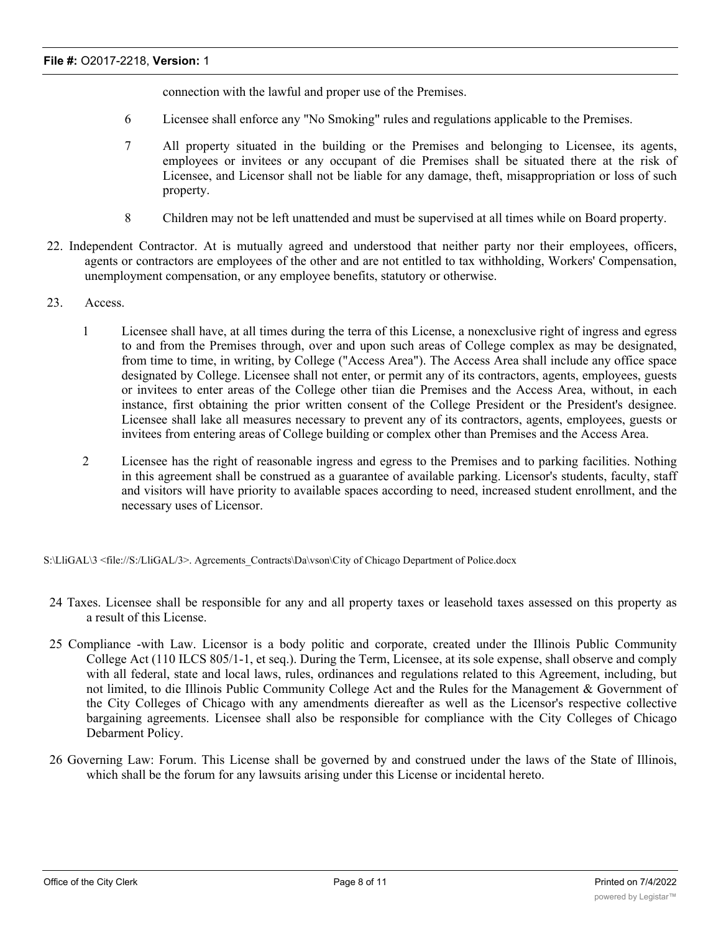connection with the lawful and proper use of the Premises.

- 6 Licensee shall enforce any "No Smoking" rules and regulations applicable to the Premises.
- 7 All property situated in the building or the Premises and belonging to Licensee, its agents, employees or invitees or any occupant of die Premises shall be situated there at the risk of Licensee, and Licensor shall not be liable for any damage, theft, misappropriation or loss of such property.
- 8 Children may not be left unattended and must be supervised at all times while on Board property.
- 22. Independent Contractor. At is mutually agreed and understood that neither party nor their employees, officers, agents or contractors are employees of the other and are not entitled to tax withholding, Workers' Compensation, unemployment compensation, or any employee benefits, statutory or otherwise.
- 23. Access.
	- 1 Licensee shall have, at all times during the terra of this License, a nonexclusive right of ingress and egress to and from the Premises through, over and upon such areas of College complex as may be designated, from time to time, in writing, by College ("Access Area"). The Access Area shall include any office space designated by College. Licensee shall not enter, or permit any of its contractors, agents, employees, guests or invitees to enter areas of the College other tiian die Premises and the Access Area, without, in each instance, first obtaining the prior written consent of the College President or the President's designee. Licensee shall lake all measures necessary to prevent any of its contractors, agents, employees, guests or invitees from entering areas of College building or complex other than Premises and the Access Area.
	- 2 Licensee has the right of reasonable ingress and egress to the Premises and to parking facilities. Nothing in this agreement shall be construed as a guarantee of available parking. Licensor's students, faculty, staff and visitors will have priority to available spaces according to need, increased student enrollment, and the necessary uses of Licensor.

S:\LliGAL\3 <file://S:/LliGAL/3>. Agrcements\_Contracts\Da\vson\City of Chicago Department of Police.docx

- 24 Taxes. Licensee shall be responsible for any and all property taxes or leasehold taxes assessed on this property as a result of this License.
- 25 Compliance -with Law. Licensor is a body politic and corporate, created under the Illinois Public Community College Act (110 ILCS 805/1-1, et seq.). During the Term, Licensee, at its sole expense, shall observe and comply with all federal, state and local laws, rules, ordinances and regulations related to this Agreement, including, but not limited, to die Illinois Public Community College Act and the Rules for the Management & Government of the City Colleges of Chicago with any amendments diereafter as well as the Licensor's respective collective bargaining agreements. Licensee shall also be responsible for compliance with the City Colleges of Chicago Debarment Policy.
- 26 Governing Law: Forum. This License shall be governed by and construed under the laws of the State of Illinois, which shall be the forum for any lawsuits arising under this License or incidental hereto.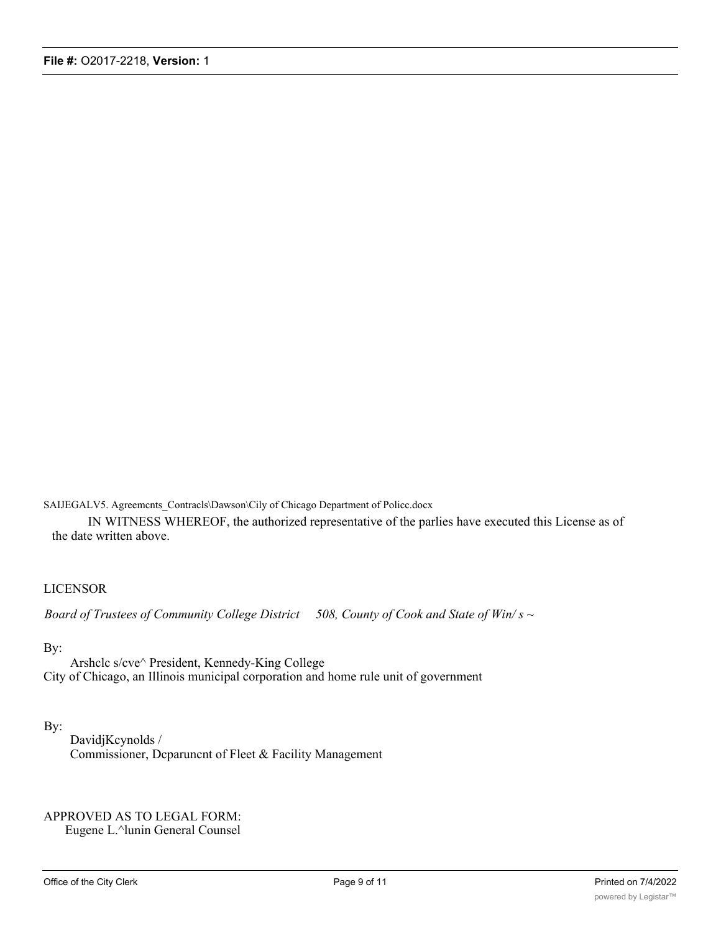SAIJEGALV5. Agreemcnts\_Contracls\Dawson\Cily of Chicago Department of Policc.docx

IN WITNESS WHEREOF, the authorized representative of the parlies have executed this License as of the date written above.

#### LICENSOR

*Board of Trustees of Community College District 508, County of Cook and State of Win/ s ~*

#### By:

Arshclc s/cve^ President, Kennedy-King College City of Chicago, an Illinois municipal corporation and home rule unit of government

#### By:

DavidjKcynolds / Commissioner, Dcparuncnt of Fleet & Facility Management

# APPROVED AS TO LEGAL FORM:

Eugene L.^lunin General Counsel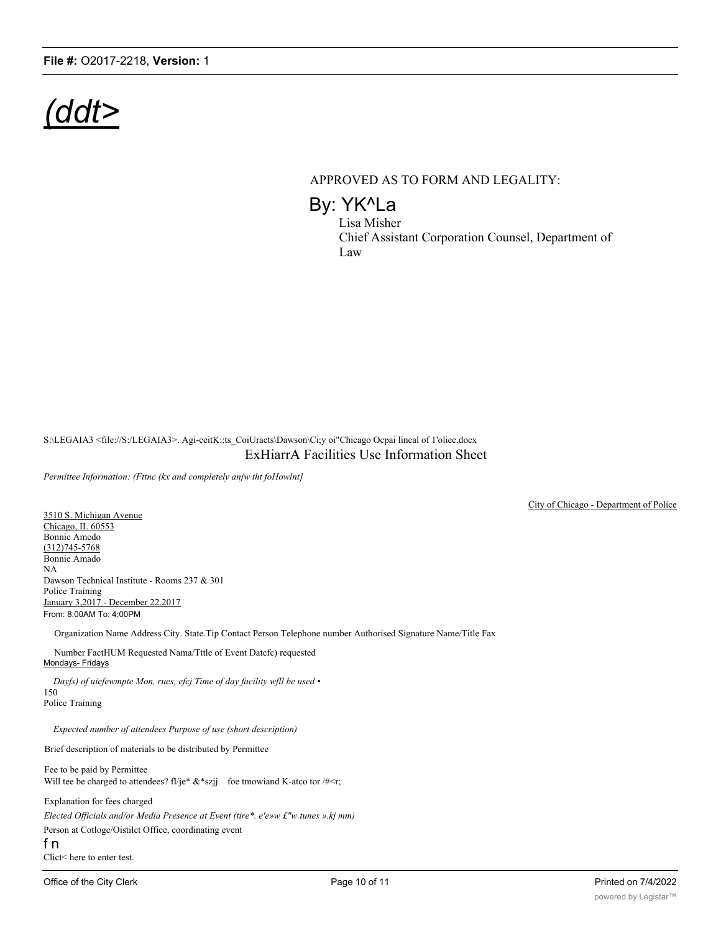# *(ddt>*

#### APPROVED AS TO FORM AND LEGALITY:

By: YK^La

Lisa Misher Chief Assistant Corporation Counsel, Department of Law

S:\LEGAIA3 <file://S:/LEGAIA3>. Agi-ceitK:;ts\_CoiUracts\Dawson\Ci;y oi"Chicago Ocpai lineal of 1'oliec.docx ExHiarrA Facilities Use Information Sheet

*Permittee Information: (Fttnc (kx and completely anjw tht foHowlnt]*

3510 S. Michigan Avenue Chicago, IL 60553 Bonnie Amedo (312)745-5768 Bonnie Amado NA Dawson Technical Institute - Rooms 237 & 301 Police Training January 3,2017 - December 22.2017 From: 8:00AM To: 4:00PM

Organization Name Address City. State.Tip Contact Person Telephone number Authorised Signature Name/Title Fax

Number FactHUM Requested Nama/Tttle of Event Datcfc) requested Mondays- Fridays

*Dayfs) of uiefewmpte Mon, rues, efcj Time of day facility wfll be used •* 150 Police Training

*Expected number of attendees Purpose of use (short description)*

Brief description of materials to be distributed by Permittee

Fee to be paid by Permittee Will tee be charged to attendees?  $f\!l/je^* \&^*$ szjj foe tmowiand K-atco tor /#<r;

Explanation for fees charged *Elected Officials and/or Media Presence at Event (tire\*. e'e»w £"w tunes ».kj mm)* Person at Cotloge/Oistilct Office, coordinating event f n

Clict< here to enter test.

City of Chicago - Department of Police